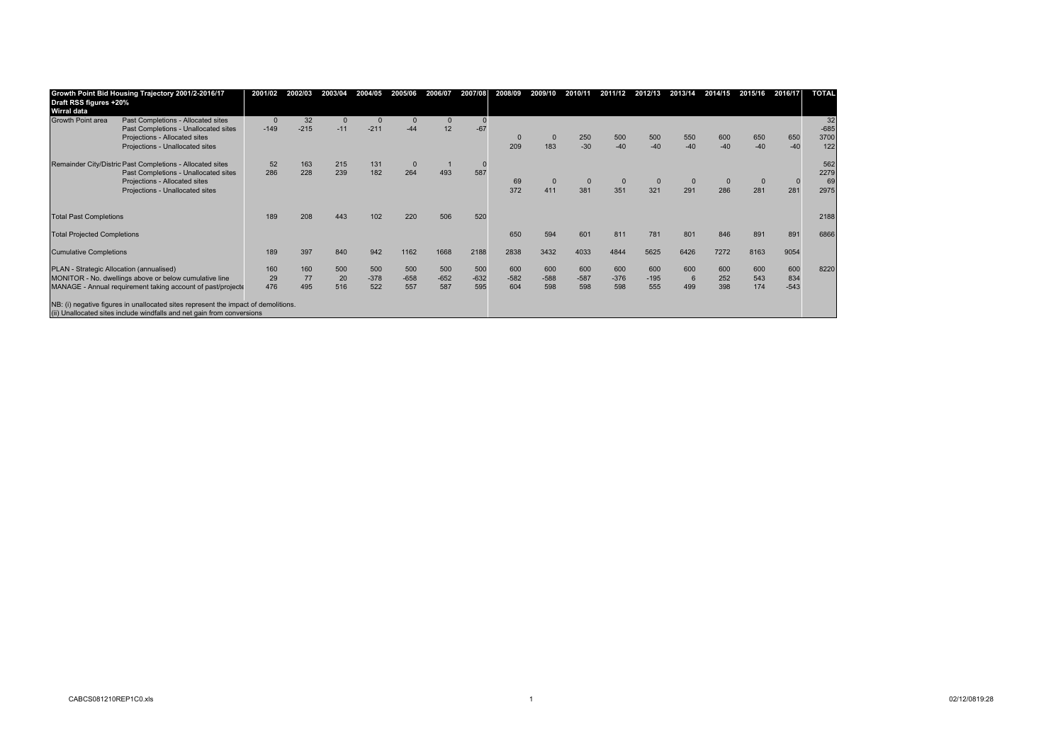| Draft RSS figures +20%<br>Wirral data                       | Growth Point Bid Housing Trajectory 2001/2-2016/17                                                                                                           | 2001/02  | 2002/03 | 2003/04  | 2004/05 | 2005/06        | 2006/07  | 2007/08 | 2008/09  | 2009/10  | 2010/11     | 2011/12     | 2012/13 | 2013/14      | 2014/15      | 2015/16 | 2016/17     | <b>TOTAL</b> |
|-------------------------------------------------------------|--------------------------------------------------------------------------------------------------------------------------------------------------------------|----------|---------|----------|---------|----------------|----------|---------|----------|----------|-------------|-------------|---------|--------------|--------------|---------|-------------|--------------|
| Growth Point area                                           | Past Completions - Allocated sites                                                                                                                           | $\Omega$ | 32      | $\Omega$ |         | $\overline{0}$ | $\Omega$ |         |          |          |             |             |         |              |              |         |             | 32           |
|                                                             | Past Completions - Unallocated sites                                                                                                                         | $-149$   | $-215$  | $-11$    | $-211$  | $-44$          | 12       | $-67$   |          |          |             |             |         |              |              |         |             | $-685$       |
|                                                             | Projections - Allocated sites                                                                                                                                |          |         |          |         |                |          |         | $\Omega$ | $\Omega$ | 250         | 500         | 500     | 550          | 600          | 650     | 650         | 3700         |
|                                                             | Projections - Unallocated sites                                                                                                                              |          |         |          |         |                |          |         | 209      | 183      | $-30$       | $-40$       | $-40$   | $-40$        | $-40$        | $-40$   | $-40$       | 122          |
|                                                             | Remainder City/Distric Past Completions - Allocated sites                                                                                                    | 52       | 163     | 215      | 131     | $\mathbf{0}$   |          |         |          |          |             |             |         |              |              |         |             | 562          |
|                                                             | Past Completions - Unallocated sites                                                                                                                         | 286      | 228     | 239      | 182     | 264            | 493      | 587     |          |          |             |             |         |              |              |         |             | 2279         |
|                                                             | Projections - Allocated sites                                                                                                                                |          |         |          |         |                |          |         | 69       |          | $\mathbf 0$ | $\mathbf 0$ |         | $\mathbf{0}$ | $\mathbf{0}$ |         | $\mathbf 0$ | 69           |
|                                                             | Projections - Unallocated sites                                                                                                                              |          |         |          |         |                |          |         | 372      | 411      | 381         | 351         | 321     | 291          | 286          | 281     | 281         | 2975         |
| <b>Total Past Completions</b>                               |                                                                                                                                                              | 189      | 208     | 443      |         | 220            | 506      | 520     |          |          |             |             |         |              |              |         |             | 2188         |
| <b>Total Projected Completions</b>                          |                                                                                                                                                              |          |         |          |         |                |          |         | 650      | 594      | 601         | 811         | 781     | 801          | 846          | 891     | 891         | 6866         |
| <b>Cumulative Completions</b>                               |                                                                                                                                                              | 189      | 397     | 840      | 942     | 1162           | 1668     | 2188    | 2838     | 3432     | 4033        | 4844        | 5625    | 6426         | 7272         | 8163    | 9054        |              |
| PLAN - Strategic Allocation (annualised)                    |                                                                                                                                                              | 160      | 160     | 500      | 500     | 500            | 500      | 500     | 600      | 600      | 600         | 600         | 600     | 600          | 600          | 600     | 600         | 8220         |
| MONITOR - No. dwellings above or below cumulative line      |                                                                                                                                                              | 29       | 77      | 20       | $-378$  | $-658$         | $-652$   | $-632$  | $-582$   | $-588$   | $-587$      | $-376$      | $-195$  | 6            | 252          | 543     | 834         |              |
| MANAGE - Annual requirement taking account of past/projecte |                                                                                                                                                              | 476      | 495     | 516      | 522     | 557            | 587      | 595     | 604      | 598      | 598         | 598         | 555     | 499          | 398          | 174     | $-543$      |              |
|                                                             | NB: (i) negative figures in unallocated sites represent the impact of demolitions.<br>(ii) Unallocated sites include windfalls and net gain from conversions |          |         |          |         |                |          |         |          |          |             |             |         |              |              |         |             |              |
|                                                             |                                                                                                                                                              |          |         |          |         |                |          |         |          |          |             |             |         |              |              |         |             |              |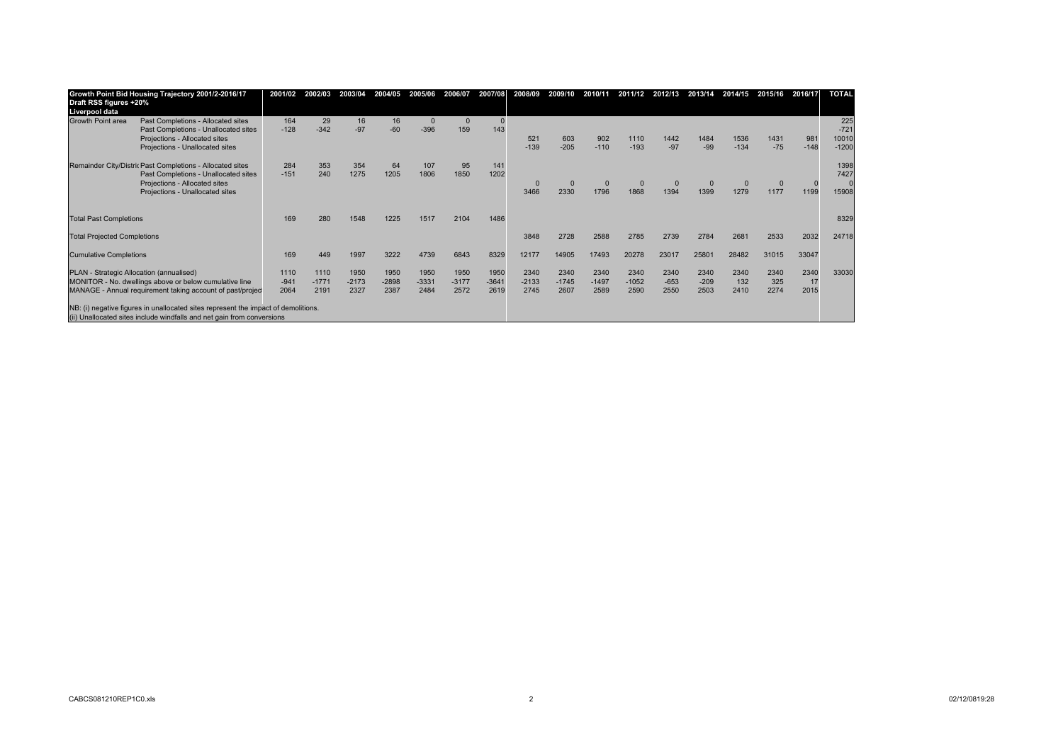| Liverpool data                                                                                                                                                                                            |                             |
|-----------------------------------------------------------------------------------------------------------------------------------------------------------------------------------------------------------|-----------------------------|
| 164<br>29<br>16<br>16<br>Growth Point area<br>Past Completions - Allocated sites<br>$\mathbf{0}$                                                                                                          |                             |
| $-60$<br>$-342$<br>$-97$<br>$-396$<br>$-128$<br>159<br>143<br>Past Completions - Unallocated sites                                                                                                        | $225$<br>$-721$             |
| Projections - Allocated sites<br>603<br>902<br>1110<br>1536<br>521<br>1442<br>1484                                                                                                                        | 981<br>10010<br>1431        |
| $-205$<br>$-193$<br>$-134$<br>$-139$<br>$-110$<br>$-97$<br>$-99$<br>Projections - Unallocated sites                                                                                                       | $-148$<br>$-1200$<br>$-75$  |
| Remainder City/Distric Past Completions - Allocated sites<br>353<br>354<br>64<br>107<br>284<br>95<br>141                                                                                                  | 1398                        |
| 1806<br>240<br>1275<br>1205<br>1850<br>1202<br>$-151$<br>Past Completions - Unallocated sites                                                                                                             | 7427                        |
| Projections - Allocated sites<br>$\Omega$                                                                                                                                                                 | $\mathbf 0$<br>$\mathbf{0}$ |
| 1868<br>2330<br>1796<br>1399<br>1279<br>Projections - Unallocated sites<br>3466<br>1394                                                                                                                   | 1199<br>1177<br>15908       |
|                                                                                                                                                                                                           |                             |
| 1486<br>280<br><b>Total Past Completions</b><br>169<br>1517<br>2104<br>1548<br>1225                                                                                                                       | 8329                        |
| 2588<br>2785<br>2784<br>2681<br>3848<br>2728<br><b>Total Projected Completions</b><br>2739                                                                                                                | 2032<br>24718<br>2533       |
| 8329<br>449<br>3222<br>4739<br>6843<br>12177<br>17493<br>20278<br>25801<br>28482<br>1997<br>14905<br>23017<br><b>Cumulative Completions</b><br>169                                                        | 31015<br>33047              |
|                                                                                                                                                                                                           |                             |
| PLAN - Strategic Allocation (annualised)<br>1110<br>1950<br>1950<br>2340<br>1110<br>1950<br>1950<br>1950<br>2340<br>2340<br>2340<br>2340<br>2340<br>2340                                                  | 2340<br>33030<br>2340       |
| $-2133$<br>$-1052$<br>MONITOR - No. dwellings above or below cumulative line<br>$-941$<br>$-1771$<br>$-2173$<br>$-2898$<br>$-3331$<br>$-3177$<br>$-3641$<br>$-209$<br>132<br>$-1745$<br>$-1497$<br>$-653$ | 17<br>325                   |
| 2387<br>2572<br>2619<br>2745<br>2590<br>MANAGE - Annual requirement taking account of past/projec<br>2064<br>2191<br>2327<br>2484<br>2607<br>2589<br>2550<br>2503<br>2410                                 | 2274<br>2015                |
| NB: (i) negative figures in unallocated sites represent the impact of demolitions.                                                                                                                        |                             |
| (ii) Unallocated sites include windfalls and net gain from conversions                                                                                                                                    |                             |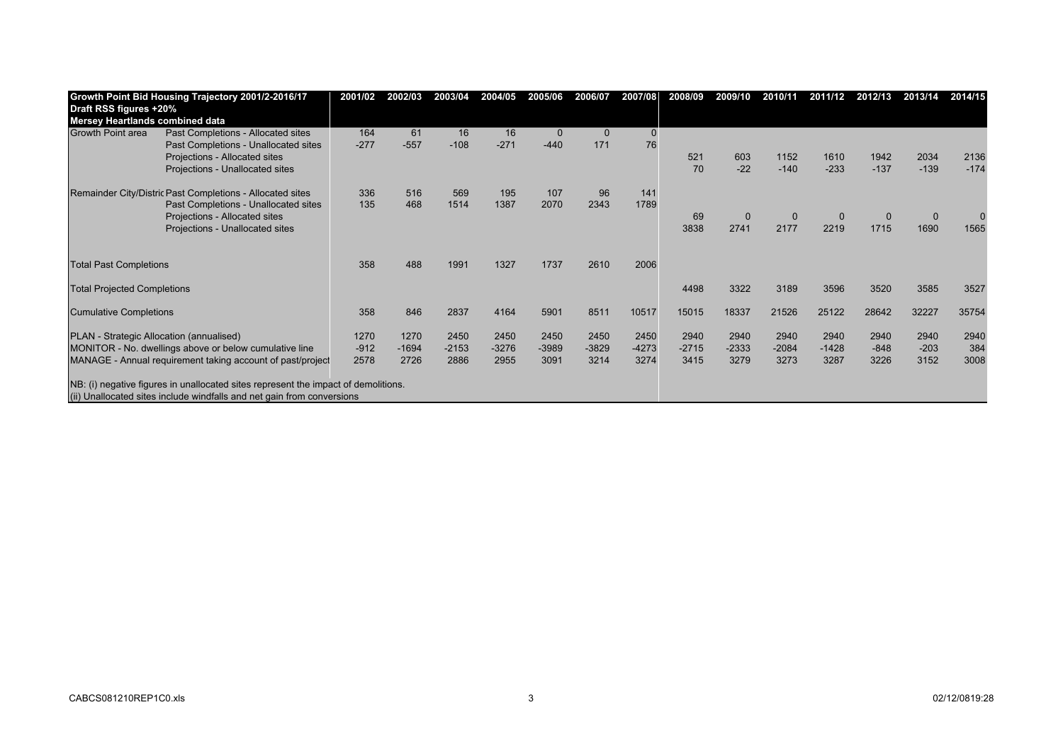| Growth Point Bid Housing Trajectory 2001/2-2016/17         |                                                                                    | 2001/02 | 2002/03 | 2003/04 | 2004/05 | 2005/06  | 2006/07  | 2007/08  | 2008/09 | 2009/10  | 2010/11  | 2011/12  | 2012/13  | 2013/14     | 2014/15 |
|------------------------------------------------------------|------------------------------------------------------------------------------------|---------|---------|---------|---------|----------|----------|----------|---------|----------|----------|----------|----------|-------------|---------|
| Draft RSS figures +20%                                     |                                                                                    |         |         |         |         |          |          |          |         |          |          |          |          |             |         |
| Mersey Heartlands combined data                            |                                                                                    |         |         |         |         |          |          |          |         |          |          |          |          |             |         |
| Growth Point area                                          | Past Completions - Allocated sites                                                 | 164     | 61      | 16      | 16      | $\Omega$ | $\Omega$ | $\Omega$ |         |          |          |          |          |             |         |
|                                                            | Past Completions - Unallocated sites                                               | $-277$  | $-557$  | $-108$  | $-271$  | $-440$   | 171      | 76       |         |          |          |          |          |             |         |
|                                                            | Projections - Allocated sites                                                      |         |         |         |         |          |          |          | 521     | 603      | 1152     | 1610     | 1942     | 2034        | 2136    |
|                                                            | Projections - Unallocated sites                                                    |         |         |         |         |          |          |          | 70      | $-22$    | $-140$   | $-233$   | $-137$   | $-139$      | $-174$  |
| Remainder City/Distric Past Completions - Allocated sites  |                                                                                    | 336     | 516     | 569     | 195     | 107      | 96       | 141      |         |          |          |          |          |             |         |
|                                                            | Past Completions - Unallocated sites                                               | 135     | 468     | 1514    | 1387    | 2070     | 2343     | 1789     |         |          |          |          |          |             |         |
|                                                            | Projections - Allocated sites                                                      |         |         |         |         |          |          |          | 69      | $\Omega$ | $\Omega$ | $\Omega$ | $\Omega$ | $\mathbf 0$ |         |
|                                                            | Projections - Unallocated sites                                                    |         |         |         |         |          |          |          | 3838    | 2741     | 2177     | 2219     | 1715     | 1690        | 1565    |
|                                                            |                                                                                    |         |         |         |         |          |          |          |         |          |          |          |          |             |         |
| <b>Total Past Completions</b>                              |                                                                                    | 358     | 488     | 1991    | 1327    | 1737     | 2610     | 2006     |         |          |          |          |          |             |         |
| <b>Total Projected Completions</b>                         |                                                                                    |         |         |         |         |          |          |          | 4498    | 3322     | 3189     | 3596     | 3520     | 3585        | 3527    |
| <b>Cumulative Completions</b>                              |                                                                                    | 358     | 846     | 2837    | 4164    | 5901     | 8511     | 10517    | 15015   | 18337    | 21526    | 25122    | 28642    | 32227       | 35754   |
| PLAN - Strategic Allocation (annualised)                   |                                                                                    | 1270    | 1270    | 2450    | 2450    | 2450     | 2450     | 2450     | 2940    | 2940     | 2940     | 2940     | 2940     | 2940        | 2940    |
| MONITOR - No. dwellings above or below cumulative line     |                                                                                    | $-912$  | $-1694$ | $-2153$ | $-3276$ | $-3989$  | $-3829$  | $-4273$  | $-2715$ | $-2333$  | $-2084$  | $-1428$  | $-848$   | $-203$      | 384     |
| MANAGE - Annual requirement taking account of past/project |                                                                                    | 2578    | 2726    | 2886    | 2955    | 3091     | 3214     | 3274     | 3415    | 3279     | 3273     | 3287     | 3226     | 3152        | 3008    |
|                                                            | NB: (i) negative figures in unallocated sites represent the impact of demolitions. |         |         |         |         |          |          |          |         |          |          |          |          |             |         |
|                                                            |                                                                                    |         |         |         |         |          |          |          |         |          |          |          |          |             |         |
|                                                            | (ii) Unallocated sites include windfalls and net gain from conversions             |         |         |         |         |          |          |          |         |          |          |          |          |             |         |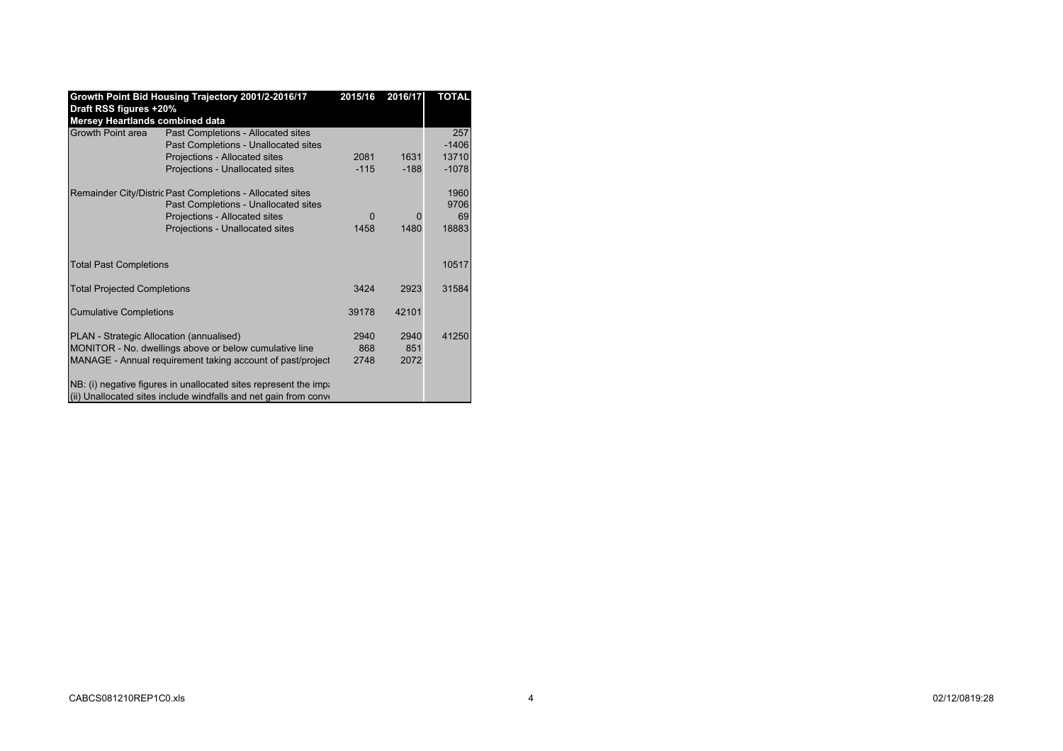|                                                           | Growth Point Bid Housing Trajectory 2001/2-2016/17                 | 2015/16  | 2016/17 | <b>TOTAL</b> |
|-----------------------------------------------------------|--------------------------------------------------------------------|----------|---------|--------------|
| Draft RSS figures +20%<br>Mersey Heartlands combined data |                                                                    |          |         |              |
| Growth Point area                                         | Past Completions - Allocated sites                                 |          |         | 257          |
|                                                           | Past Completions - Unallocated sites                               |          |         | $-1406$      |
|                                                           | Projections - Allocated sites                                      | 2081     | 1631    | 13710        |
|                                                           | Projections - Unallocated sites                                    | $-115$   | $-188$  | $-1078$      |
|                                                           | Remainder City/Distric Past Completions - Allocated sites          |          |         | 1960         |
|                                                           | Past Completions - Unallocated sites                               |          |         | 9706         |
|                                                           | Projections - Allocated sites                                      | $\Omega$ | Ω       | 69           |
|                                                           | Projections - Unallocated sites                                    | 1458     | 1480    | 18883        |
|                                                           |                                                                    |          |         |              |
| <b>Total Past Completions</b>                             |                                                                    |          |         | 10517        |
| <b>Total Projected Completions</b>                        |                                                                    | 3424     | 2923    | 31584        |
| <b>Cumulative Completions</b>                             |                                                                    | 39178    | 42101   |              |
| PLAN - Strategic Allocation (annualised)                  |                                                                    | 2940     | 2940    | 41250        |
|                                                           | MONITOR - No. dwellings above or below cumulative line             | 868      | 851     |              |
|                                                           | MANAGE - Annual requirement taking account of past/project         | 2748     | 2072    |              |
|                                                           | NB: (i) negative figures in unallocated sites represent the impa-  |          |         |              |
|                                                           | (ii) Unallocated sites include windfalls and net gain from convert |          |         |              |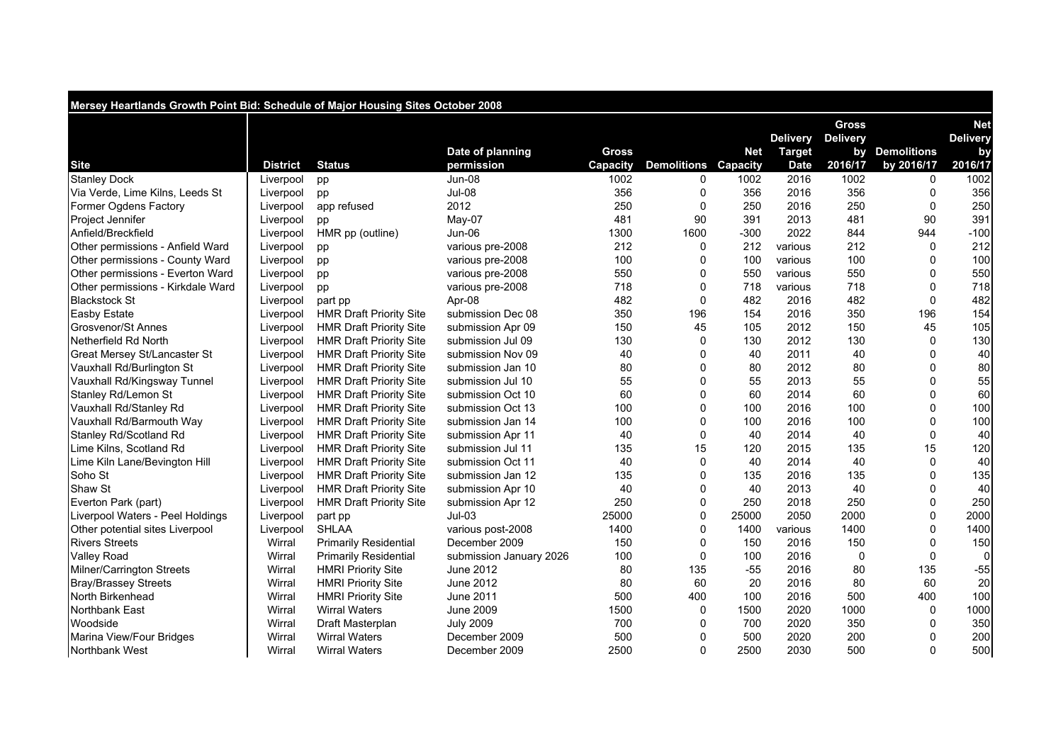| Mersey Heartlands Growth Point Bid: Schedule of Major Housing Sites October 2008 |                 |                                |                         |          |                             |            |                 |                 |                |                 |  |  |
|----------------------------------------------------------------------------------|-----------------|--------------------------------|-------------------------|----------|-----------------------------|------------|-----------------|-----------------|----------------|-----------------|--|--|
|                                                                                  |                 |                                |                         |          |                             |            |                 | <b>Gross</b>    |                | <b>Net</b>      |  |  |
|                                                                                  |                 |                                |                         |          |                             |            | <b>Delivery</b> | <b>Delivery</b> |                | <b>Delivery</b> |  |  |
|                                                                                  |                 |                                | Date of planning        | Gross    |                             | <b>Net</b> | <b>Target</b>   |                 | by Demolitions | by              |  |  |
| <b>Site</b>                                                                      | <b>District</b> | <b>Status</b>                  | permission              | Capacity | <b>Demolitions Capacity</b> |            | <b>Date</b>     | 2016/17         | by 2016/17     | 2016/17         |  |  |
| <b>Stanley Dock</b>                                                              | Liverpool       | pp                             | <b>Jun-08</b>           | 1002     | $\Omega$                    | 1002       | 2016            | 1002            | $\mathbf{0}$   | 1002            |  |  |
| Via Verde, Lime Kilns, Leeds St                                                  | Liverpool       | pp                             | <b>Jul-08</b>           | 356      | $\Omega$                    | 356        | 2016            | 356             | $\Omega$       | 356             |  |  |
| Former Ogdens Factory                                                            | Liverpool       | app refused                    | 2012                    | 250      | $\Omega$                    | 250        | 2016            | 250             | $\Omega$       | 250             |  |  |
| <b>Project Jennifer</b>                                                          | Liverpool       | pp                             | $Mav-07$                | 481      | 90                          | 391        | 2013            | 481             | 90             | 391             |  |  |
| Anfield/Breckfield                                                               | Liverpool       | HMR pp (outline)               | Jun-06                  | 1300     | 1600                        | $-300$     | 2022            | 844             | 944            | $-100$          |  |  |
| Other permissions - Anfield Ward                                                 | Liverpool       | pp                             | various pre-2008        | 212      | $\Omega$                    | 212        | various         | 212             | $\Omega$       | 212             |  |  |
| Other permissions - County Ward                                                  | Liverpool       | pp                             | various pre-2008        | 100      | O                           | 100        | various         | 100             | $\Omega$       | 100             |  |  |
| Other permissions - Everton Ward                                                 | Liverpool       | pp                             | various pre-2008        | 550      | 0                           | 550        | various         | 550             | $\Omega$       | 550             |  |  |
| Other permissions - Kirkdale Ward                                                | Liverpool       | pp                             | various pre-2008        | 718      | $\Omega$                    | 718        | various         | 718             | $\Omega$       | 718             |  |  |
| <b>Blackstock St</b>                                                             | Liverpool       | part pp                        | Apr-08                  | 482      | $\Omega$                    | 482        | 2016            | 482             | $\Omega$       | 482             |  |  |
| <b>Easby Estate</b>                                                              | Liverpool       | <b>HMR Draft Priority Site</b> | submission Dec 08       | 350      | 196                         | 154        | 2016            | 350             | 196            | 154             |  |  |
| <b>Grosvenor/St Annes</b>                                                        | Liverpool       | <b>HMR Draft Priority Site</b> | submission Apr 09       | 150      | 45                          | 105        | 2012            | 150             | 45             | 105             |  |  |
| Netherfield Rd North                                                             | Liverpool       | <b>HMR Draft Priority Site</b> | submission Jul 09       | 130      | $\mathbf 0$                 | 130        | 2012            | 130             | $\Omega$       | 130             |  |  |
| Great Mersey St/Lancaster St                                                     | Liverpool       | <b>HMR Draft Priority Site</b> | submission Nov 09       | 40       | $\Omega$                    | 40         | 2011            | 40              | $\Omega$       | 40              |  |  |
| Vauxhall Rd/Burlington St                                                        | Liverpool       | <b>HMR Draft Priority Site</b> | submission Jan 10       | 80       | $\Omega$                    | 80         | 2012            | 80              | $\Omega$       | 80              |  |  |
| Vauxhall Rd/Kingsway Tunnel                                                      | Liverpool       | <b>HMR Draft Priority Site</b> | submission Jul 10       | 55       | $\Omega$                    | 55         | 2013            | 55              | $\Omega$       | 55              |  |  |
| Stanley Rd/Lemon St                                                              | Liverpool       | <b>HMR Draft Priority Site</b> | submission Oct 10       | 60       | $\Omega$                    | 60         | 2014            | 60              | $\mathbf 0$    | 60              |  |  |
| Vauxhall Rd/Stanley Rd                                                           | Liverpool       | <b>HMR Draft Priority Site</b> | submission Oct 13       | 100      | $\Omega$                    | 100        | 2016            | 100             | $\Omega$       | 100             |  |  |
| Vauxhall Rd/Barmouth Way                                                         | Liverpool       | <b>HMR Draft Priority Site</b> | submission Jan 14       | 100      | $\Omega$                    | 100        | 2016            | 100             | $\Omega$       | 100             |  |  |
| Stanley Rd/Scotland Rd                                                           | Liverpool       | <b>HMR Draft Priority Site</b> | submission Apr 11       | 40       | $\Omega$                    | 40         | 2014            | 40              | $\Omega$       | 40              |  |  |
| Lime Kilns, Scotland Rd                                                          | Liverpool       | <b>HMR Draft Priority Site</b> | submission Jul 11       | 135      | 15                          | 120        | 2015            | 135             | 15             | 120             |  |  |
| Lime Kiln Lane/Bevington Hill                                                    | Liverpool       | <b>HMR Draft Priority Site</b> | submission Oct 11       | 40       | 0                           | 40         | 2014            | 40              | $\mathbf 0$    | 40              |  |  |
| Soho St                                                                          | Liverpool       | <b>HMR Draft Priority Site</b> | submission Jan 12       | 135      | $\Omega$                    | 135        | 2016            | 135             | $\Omega$       | 135             |  |  |
| Shaw St                                                                          | Liverpool       | <b>HMR Draft Priority Site</b> | submission Apr 10       | 40       | $\Omega$                    | 40         | 2013            | 40              | $\Omega$       | 40              |  |  |
| Everton Park (part)                                                              | Liverpool       | <b>HMR Draft Priority Site</b> | submission Apr 12       | 250      | $\Omega$                    | 250        | 2018            | 250             | $\mathbf 0$    | 250             |  |  |
| Liverpool Waters - Peel Holdings                                                 | Liverpool       | part pp                        | $Jul-03$                | 25000    | 0                           | 25000      | 2050            | 2000            | $\mathbf 0$    | 2000            |  |  |
| Other potential sites Liverpool                                                  | Liverpool       | <b>SHLAA</b>                   | various post-2008       | 1400     | 0                           | 1400       | various         | 1400            | $\mathbf 0$    | 1400            |  |  |
| <b>Rivers Streets</b>                                                            | Wirral          | <b>Primarily Residential</b>   | December 2009           | 150      | $\Omega$                    | 150        | 2016            | 150             | 0              | 150             |  |  |
| <b>Valley Road</b>                                                               | Wirral          | <b>Primarily Residential</b>   | submission January 2026 | 100      | 0                           | 100        | 2016            | 0               | $\Omega$       | 0               |  |  |
| <b>Milner/Carrington Streets</b>                                                 | Wirral          | <b>HMRI Priority Site</b>      | June 2012               | 80       | 135                         | $-55$      | 2016            | 80              | 135            | $-55$           |  |  |
| <b>Bray/Brassey Streets</b>                                                      | Wirral          | <b>HMRI Priority Site</b>      | June 2012               | 80       | 60                          | 20         | 2016            | 80              | 60             | 20              |  |  |
| North Birkenhead                                                                 | Wirral          | <b>HMRI Priority Site</b>      | June 2011               | 500      | 400                         | 100        | 2016            | 500             | 400            | 100             |  |  |
| <b>Northbank East</b>                                                            | Wirral          | <b>Wirral Waters</b>           | <b>June 2009</b>        | 1500     | 0                           | 1500       | 2020            | 1000            | $\Omega$       | 1000            |  |  |
| Woodside                                                                         | Wirral          | Draft Masterplan               | <b>July 2009</b>        | 700      | $\Omega$                    | 700        | 2020            | 350             | $\Omega$       | 350             |  |  |
| Marina View/Four Bridges                                                         | Wirral          | <b>Wirral Waters</b>           | December 2009           | 500      | 0                           | 500        | 2020            | 200             | 0              | 200             |  |  |
| Northbank West                                                                   | Wirral          | <b>Wirral Waters</b>           | December 2009           | 2500     | $\Omega$                    | 2500       | 2030            | 500             | $\Omega$       | 500             |  |  |